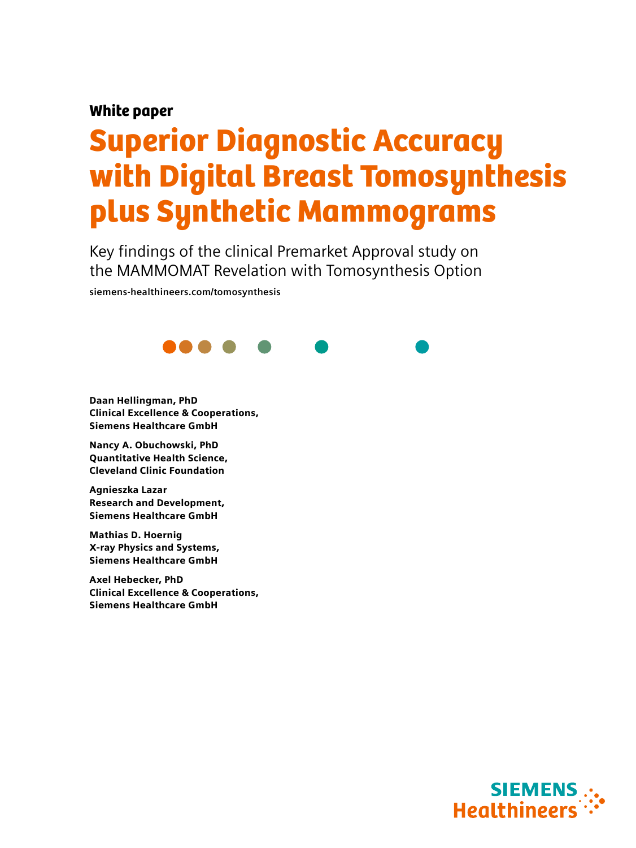# White paper

# Superior Diagnostic Accuracy with Digital Breast Tomosynthesis plus Synthetic Mammograms

Key findings of the clinical Premarket Approval study on the MAMMOMAT Revelation with Tomosynthesis Option

**siemens-healthineers.com/tomosynthesis**



Daan Hellingman, PhD Clinical Excellence & Cooperations, Siemens Healthcare GmbH

Nancy A. Obuchowski, PhD Quantitative Health Science, Cleveland Clinic Foundation

Agnieszka Lazar Research and Development, Siemens Healthcare GmbH

Mathias D. Hoernig X-ray Physics and Systems, Siemens Healthcare GmbH

Axel Hebecker, PhD Clinical Excellence & Cooperations, Siemens Healthcare GmbH

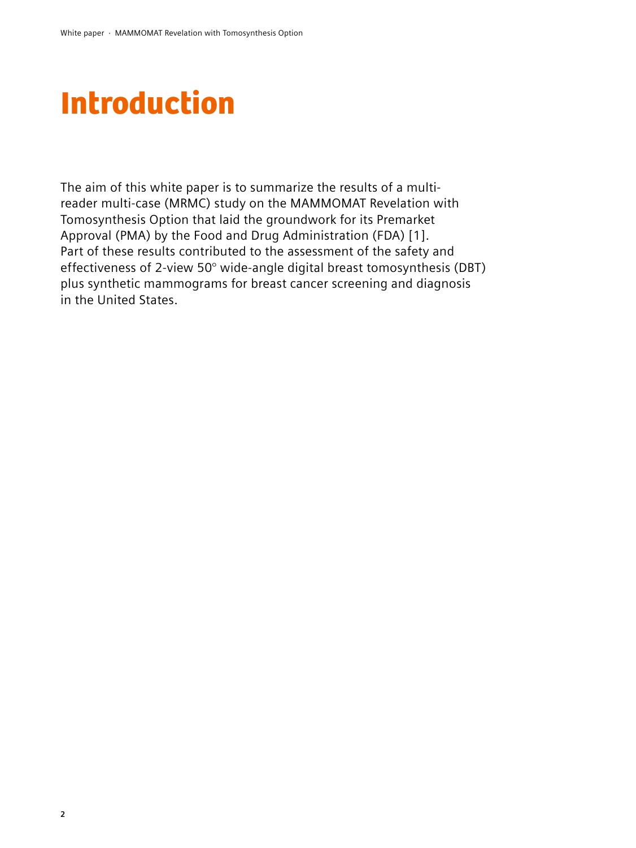# Introduction

The aim of this white paper is to summarize the results of a multireader multi-case (MRMC) study on the MAMMOMAT Revelation with Tomosynthesis Option that laid the groundwork for its Premarket Approval (PMA) by the Food and Drug Administration (FDA) [1]. Part of these results contributed to the assessment of the safety and effectiveness of 2-view 50° wide-angle digital breast tomosynthesis (DBT) plus synthetic mammograms for breast cancer screening and diagnosis in the United States.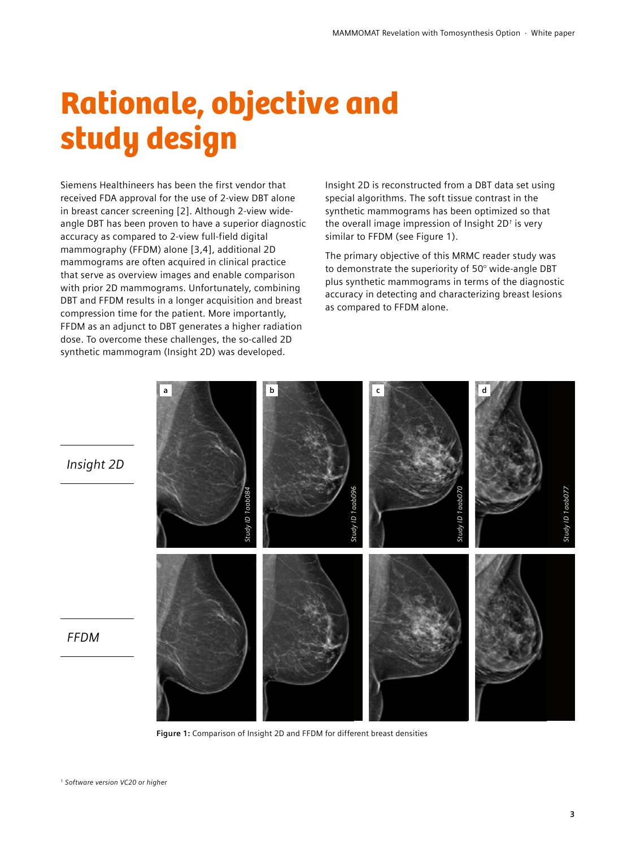# Rationale, objective and study design

Siemens Healthineers has been the first vendor that received FDA approval for the use of 2-view DBT alone in breast cancer screening [2]. Although 2-view wideangle DBT has been proven to have a superior diagnostic accuracy as compared to 2-view full-field digital mammography (FFDM) alone [3,4], additional 2D mammograms are often acquired in clinical practice that serve as overview images and enable comparison with prior 2D mammograms. Unfortunately, combining DBT and FFDM results in a longer acquisition and breast compression time for the patient. More importantly, FFDM as an adjunct to DBT generates a higher radiation dose. To overcome these challenges, the so-called 2D synthetic mammogram (Insight 2D) was developed.

Insight 2D is reconstructed from a DBT data set using special algorithms. The soft tissue contrast in the synthetic mammograms has been optimized so that the overall image impression of Insight 2D*1* is very similar to FFDM (see Figure 1).

The primary objective of this MRMC reader study was to demonstrate the superiority of 50° wide-angle DBT plus synthetic mammograms in terms of the diagnostic accuracy in detecting and characterizing breast lesions as compared to FFDM alone.



**Figure 1:** Comparison of Insight 2D and FFDM for different breast densities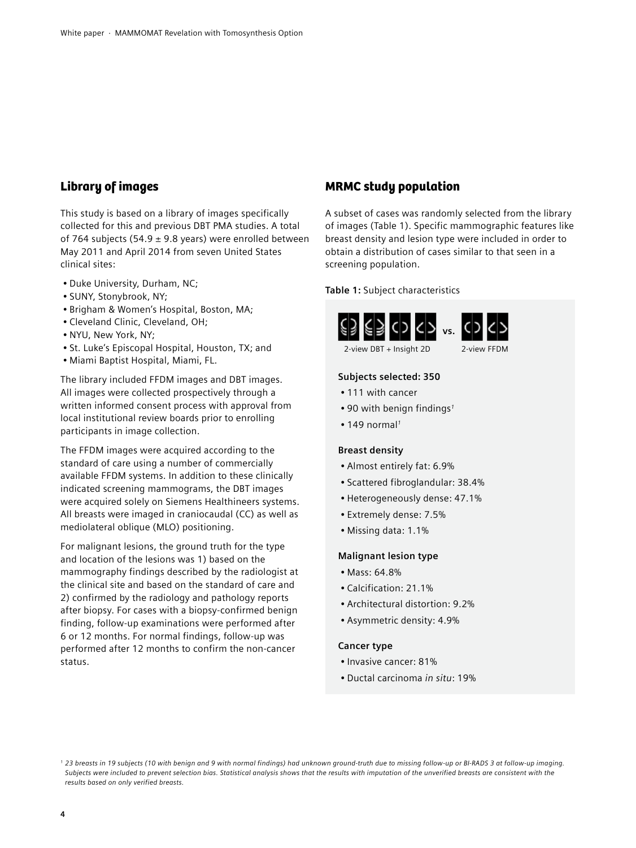### Library of images

This study is based on a library of images specifically collected for this and previous DBT PMA studies. A total of 764 subjects (54.9  $\pm$  9.8 years) were enrolled between May 2011 and April 2014 from seven United States clinical sites:

- Duke University, Durham, NC;
- SUNY, Stonybrook, NY;
- Brigham & Women's Hospital, Boston, MA;
- Cleveland Clinic, Cleveland, OH;
- NYU, New York, NY;
- St. Luke's Episcopal Hospital, Houston, TX; and
- Miami Baptist Hospital, Miami, FL.

The library included FFDM images and DBT images. All images were collected prospectively through a written informed consent process with approval from local institutional review boards prior to enrolling participants in image collection.

The FFDM images were acquired according to the standard of care using a number of commercially available FFDM systems. In addition to these clinically indicated screening mammograms, the DBT images were acquired solely on Siemens Healthineers systems. All breasts were imaged in craniocaudal (CC) as well as mediolateral oblique (MLO) positioning.

For malignant lesions, the ground truth for the type and location of the lesions was 1) based on the mammography findings described by the radiologist at the clinical site and based on the standard of care and 2) confirmed by the radiology and pathology reports after biopsy. For cases with a biopsy-confirmed benign finding, follow-up examinations were performed after 6 or 12 months. For normal findings, follow-up was performed after 12 months to confirm the non-cancer status.

### MRMC study population

A subset of cases was randomly selected from the library of images (Table 1). Specific mammographic features like breast density and lesion type were included in order to obtain a distribution of cases similar to that seen in a screening population.

#### **Table 1:** Subject characteristics





### **Subjects selected: 350**

- 111 with cancer
- 90 with benign findings*<sup>1</sup>*
- 149 normal*<sup>1</sup>*

#### **Breast density**

- Almost entirely fat: 6.9%
- Scattered fibroglandular: 38.4%
- Heterogeneously dense: 47.1%
- Extremely dense: 7.5%
- Missing data: 1.1%

#### **Malignant lesion type**

- Mass: 64.8%
- Calcification: 21.1%
- Architectural distortion: 9.2%
- Asymmetric density: 4.9%

#### **Cancer type**

- Invasive cancer: 81%
- Ductal carcinoma *in situ*: 19%

*<sup>1 23</sup> breasts in 19 subjects (10 with benign and 9 with normal findings) had unknown ground-truth due to missing follow-up or BI-RADS 3 at follow-up imaging. Subjects were included to prevent selection bias. Statistical analysis shows that the results with imputation of the unverified breasts are consistent with the results based on only verified breasts.*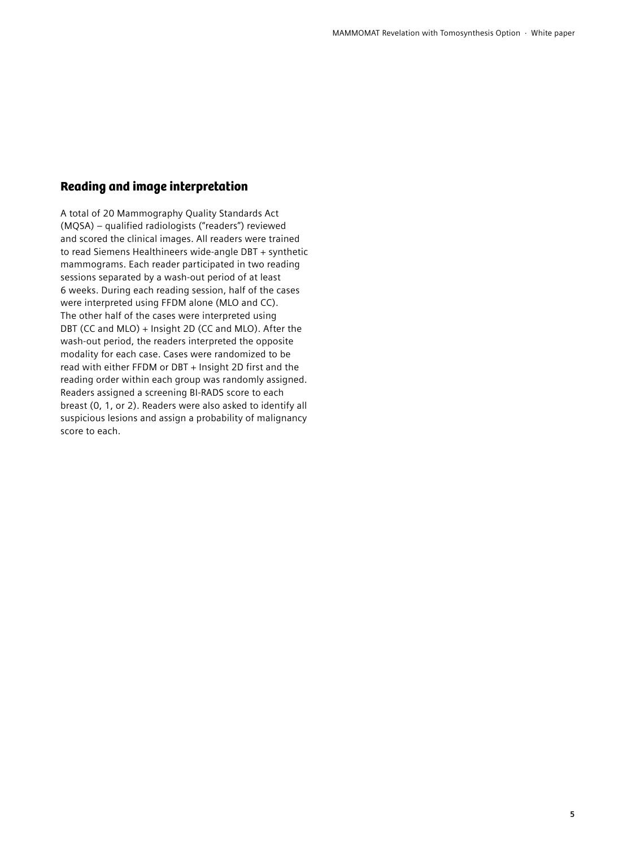### Reading and image interpretation

A total of 20 Mammography Quality Standards Act (MQSA) – qualified radiologists ("readers") reviewed and scored the clinical images. All readers were trained to read Siemens Healthineers wide-angle DBT + synthetic mammograms. Each reader participated in two reading sessions separated by a wash-out period of at least 6 weeks. During each reading session, half of the cases were interpreted using FFDM alone (MLO and CC). The other half of the cases were interpreted using DBT (CC and MLO) + Insight 2D (CC and MLO). After the wash-out period, the readers interpreted the opposite modality for each case. Cases were randomized to be read with either FFDM or DBT + Insight 2D first and the reading order within each group was randomly assigned. Readers assigned a screening BI-RADS score to each breast (0, 1, or 2). Readers were also asked to identify all suspicious lesions and assign a probability of malignancy score to each.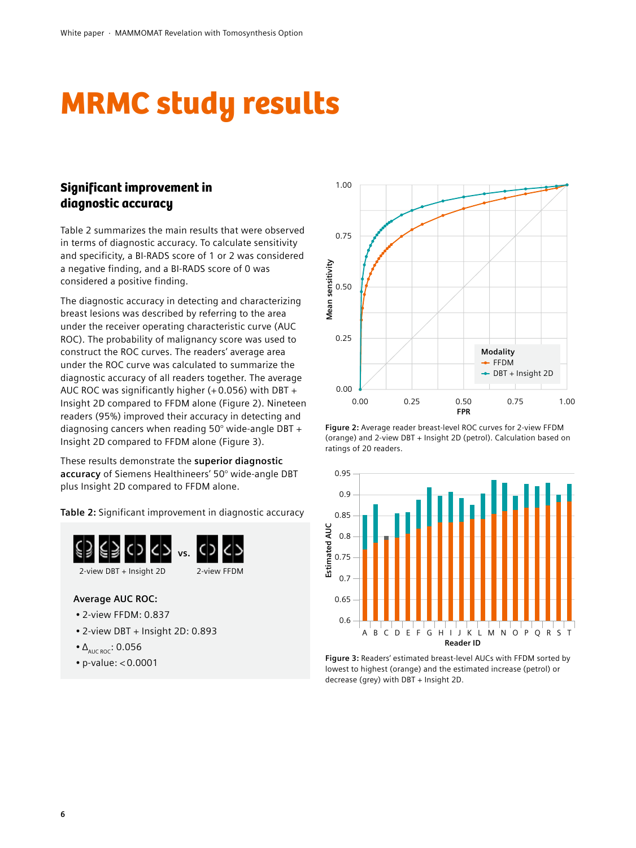# MRMC study results

# Significant improvement in diagnostic accuracy

Table 2 summarizes the main results that were observed in terms of diagnostic accuracy. To calculate sensitivity and specificity, a BI-RADS score of 1 or 2 was considered a negative finding, and a BI-RADS score of 0 was considered a positive finding.

The diagnostic accuracy in detecting and characterizing breast lesions was described by referring to the area under the receiver operating characteristic curve (AUC ROC). The probability of malignancy score was used to construct the ROC curves. The readers' average area under the ROC curve was calculated to summarize the diagnostic accuracy of all readers together. The average AUC ROC was significantly higher (+ 0.056) with DBT + Insight 2D compared to FFDM alone (Figure 2). Nineteen readers (95%) improved their accuracy in detecting and diagnosing cancers when reading 50° wide-angle DBT + Insight 2D compared to FFDM alone (Figure 3).

These results demonstrate the **superior diagnostic accuracy** of Siemens Healthineers' 50° wide-angle DBT plus Insight 2D compared to FFDM alone.

**Table 2:** Significant improvement in diagnostic accuracy



### **Average AUC ROC:**

- 2-view FFDM: 0.837
- 2-view DBT + Insight 2D: 0.893
- $\bullet$   $\Delta$ <sub>AUC ROC</sub>: 0.056
- p-value: < 0.0001



**Figure 2:** Average reader breast-level ROC curves for 2-view FFDM (orange) and 2-view DBT + Insight 2D (petrol). Calculation based on ratings of 20 readers.



**Figure 3:** Readers' estimated breast-level AUCs with FFDM sorted by lowest to highest (orange) and the estimated increase (petrol) or decrease (grey) with DBT + Insight 2D.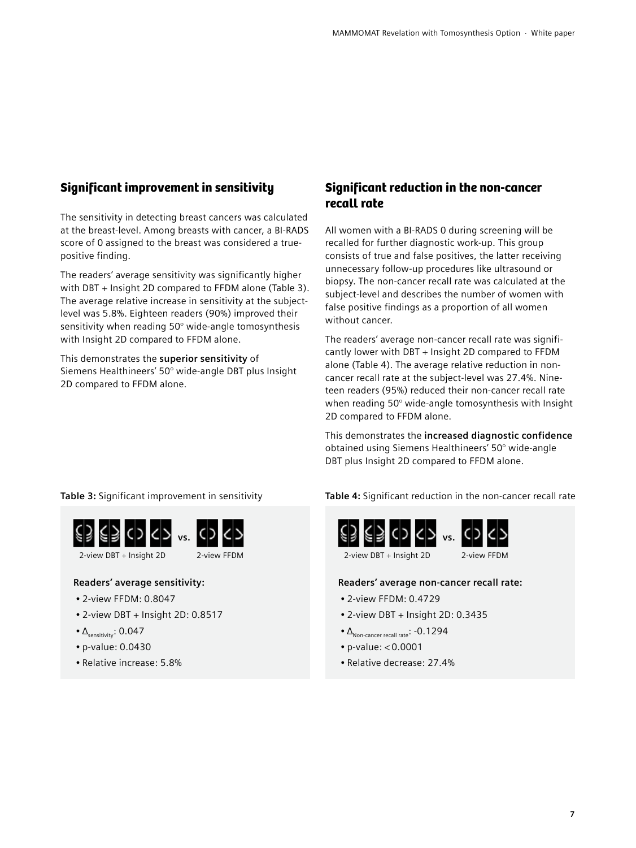### Significant improvement in sensitivity

The sensitivity in detecting breast cancers was calculated at the breast-level. Among breasts with cancer, a BI-RADS score of 0 assigned to the breast was considered a truepositive finding.

The readers' average sensitivity was significantly higher with DBT + Insight 2D compared to FFDM alone (Table 3). The average relative increase in sensitivity at the subjectlevel was 5.8%. Eighteen readers (90%) improved their sensitivity when reading 50° wide-angle tomosynthesis with Insight 2D compared to FFDM alone.

This demonstrates the **superior sensitivity** of Siemens Healthineers' 50° wide-angle DBT plus Insight 2D compared to FFDM alone.

### Significant reduction in the non-cancer recall rate

All women with a BI-RADS 0 during screening will be recalled for further diagnostic work-up. This group consists of true and false positives, the latter receiving unnecessary follow-up procedures like ultrasound or biopsy. The non-cancer recall rate was calculated at the subject-level and describes the number of women with false positive findings as a proportion of all women without cancer.

The readers' average non-cancer recall rate was significantly lower with DBT + Insight 2D compared to FFDM alone (Table 4). The average relative reduction in noncancer recall rate at the subject-level was 27.4%. Nineteen readers (95%) reduced their non-cancer recall rate when reading 50° wide-angle tomosynthesis with Insight 2D compared to FFDM alone.

This demonstrates the **increased diagnostic confidence** obtained using Siemens Healthineers' 50° wide-angle DBT plus Insight 2D compared to FFDM alone.

**Table 3:** Significant improvement in sensitivity



### **Readers' average sensitivity:**

- 2-view FFDM: 0.8047
- 2-view DBT + Insight 2D: 0.8517
- $\Delta$ <sub>sensitivity</sub>: 0.047
- p-value: 0.0430
- Relative increase: 5.8%

**Table 4:** Significant reduction in the non-cancer recall rate





**Readers' average non-cancer recall rate:**

- 2-view FFDM: 0.4729
- 2-view DBT + Insight 2D: 0.3435
- $\bullet$   $\Delta$ <sub>Non-cancer recall rate</sub>: -0.1294
- p-value: < 0.0001
- Relative decrease: 27.4%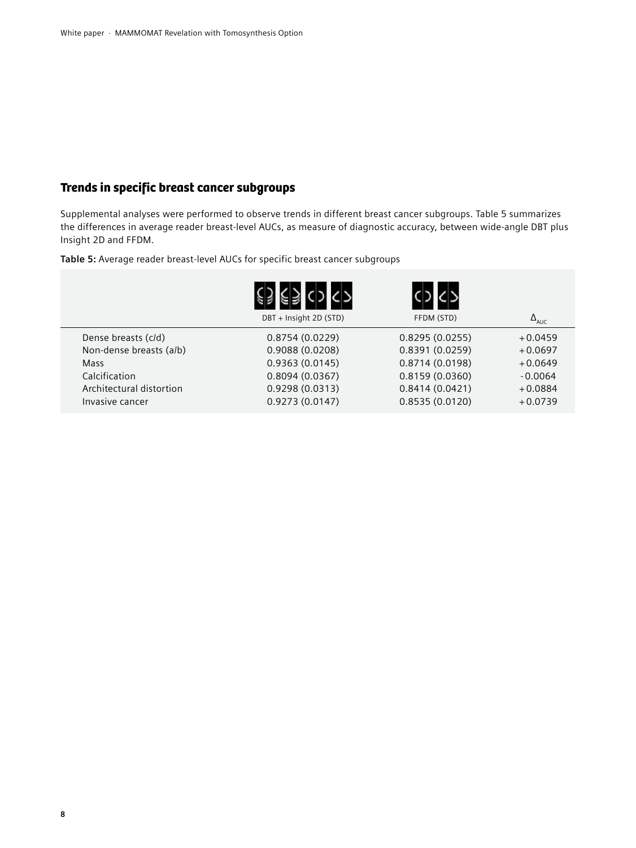# Trends in specific breast cancer subgroups

Supplemental analyses were performed to observe trends in different breast cancer subgroups. Table 5 summarizes the differences in average reader breast-level AUCs, as measure of diagnostic accuracy, between wide-angle DBT plus Insight 2D and FFDM.

**Table 5:** Average reader breast-level AUCs for specific breast cancer subgroups

|                          | DBT + Insight 2D (STD) | FFDM (STD)     | $\Delta$ <sub>AUC</sub> |
|--------------------------|------------------------|----------------|-------------------------|
| Dense breasts (c/d)      | 0.8754(0.0229)         | 0.8295(0.0255) | $+0.0459$               |
| Non-dense breasts (a/b)  | 0.9088(0.0208)         | 0.8391(0.0259) | $+0.0697$               |
| Mass                     | 0.9363(0.0145)         | 0.8714(0.0198) | $+0.0649$               |
| Calcification            | 0.8094(0.0367)         | 0.8159(0.0360) | $-0.0064$               |
| Architectural distortion | 0.9298(0.0313)         | 0.8414(0.0421) | $+0.0884$               |
| Invasive cancer          | 0.9273(0.0147)         | 0.8535(0.0120) | $+0.0739$               |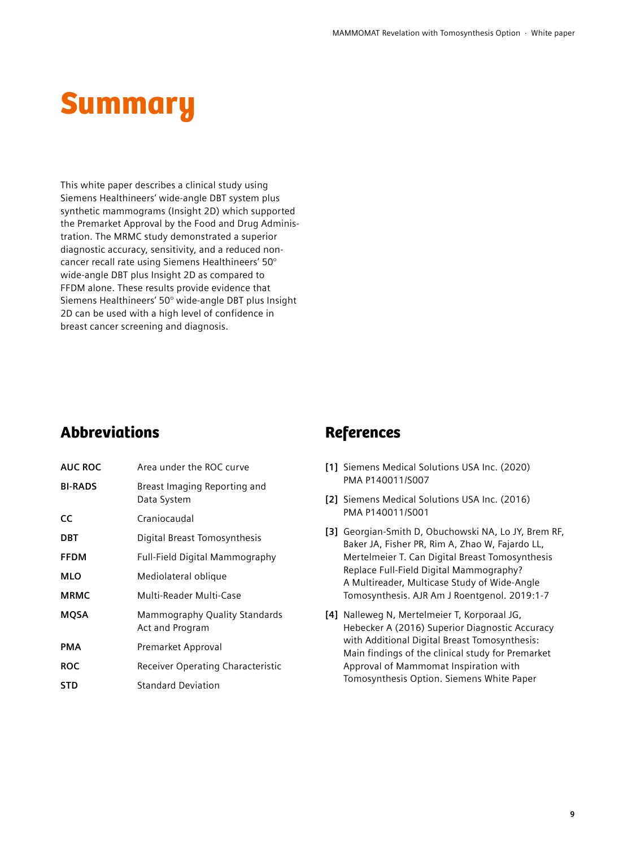# **Summary**

This white paper describes a clinical study using Siemens Healthineers' wide-angle DBT system plus synthetic mammograms (Insight 2D) which supported the Premarket Approval by the Food and Drug Administration. The MRMC study demonstrated a superior diagnostic accuracy, sensitivity, and a reduced noncancer recall rate using Siemens Healthineers' 50° wide-angle DBT plus Insight 2D as compared to FFDM alone. These results provide evidence that Siemens Healthineers' 50° wide-angle DBT plus Insight 2D can be used with a high level of confidence in breast cancer screening and diagnosis.

# Abbreviations References

| <b>AUC ROC</b> | Area under the ROC curve                         |  |
|----------------|--------------------------------------------------|--|
| <b>BI-RADS</b> | Breast Imaging Reporting and<br>Data System      |  |
| <b>CC</b>      | Craniocaudal                                     |  |
| <b>DBT</b>     | Digital Breast Tomosynthesis                     |  |
| <b>FFDM</b>    | <b>Full-Field Digital Mammography</b>            |  |
| MLO            | Mediolateral oblique                             |  |
| <b>MRMC</b>    | Multi-Reader Multi-Case                          |  |
| <b>MQSA</b>    | Mammography Quality Standards<br>Act and Program |  |
| PMA            | Premarket Approval                               |  |
| <b>ROC</b>     | Receiver Operating Characteristic                |  |
| STD            | <b>Standard Deviation</b>                        |  |

- **[1]** Siemens Medical Solutions USA Inc. (2020) PMA P140011/S007
- **[2]** Siemens Medical Solutions USA Inc. (2016) PMA P140011/S001
- **[3]** Georgian-Smith D, Obuchowski NA, Lo JY, Brem RF, Baker JA, Fisher PR, Rim A, Zhao W, Fajardo LL, Mertelmeier T. Can Digital Breast Tomosynthesis Replace Full-Field Digital Mammography? A Multireader, Multicase Study of Wide-Angle Tomosynthesis. AJR Am J Roentgenol. 2019:1-7
- **[4]** Nalleweg N, Mertelmeier T, Korporaal JG, Hebecker A (2016) Superior Diagnostic Accuracy with Additional Digital Breast Tomosynthesis: Main findings of the clinical study for Premarket Approval of Mammomat Inspiration with Tomosynthesis Option. Siemens White Paper